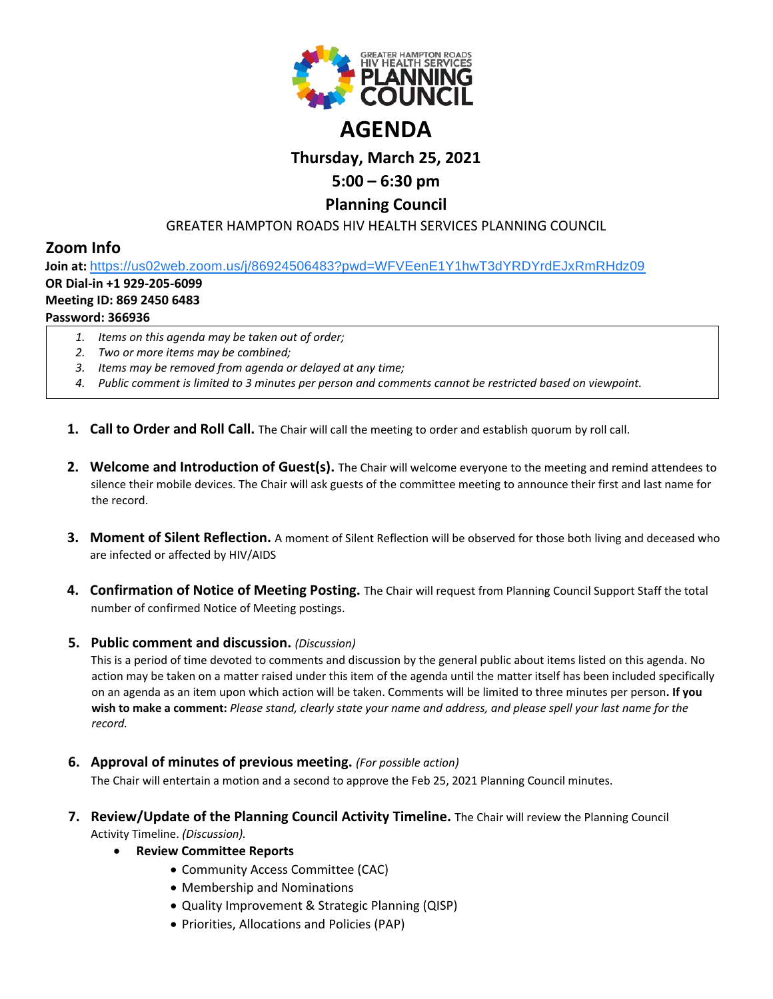

# **Thursday, March 25, 2021**

## **5:00 – 6:30 pm**

### **Planning Council**

#### GREATER HAMPTON ROADS HIV HEALTH SERVICES PLANNING COUNCIL

## **Zoom Info**

**Join at:** [https://us02web.zoom.us/j/86924506483?pwd=WFVEenE1Y1hwT3dYRDYrdEJxRmRHdz09](https://www.google.com/url?q=https://us02web.zoom.us/j/86924506483?pwd%3DWFVEenE1Y1hwT3dYRDYrdEJxRmRHdz09&sa=D&source=calendar&ust=1614104985381000&usg=AOvVaw0ZCMdjekaUW6dT-QiaNhcV) **OR Dial-in +1 929-205-6099**

#### **Meeting ID: 869 2450 6483**

#### **Password: 366936**

- *1. Items on this agenda may be taken out of order;*
- *2. Two or more items may be combined;*
- *3. Items may be removed from agenda or delayed at any time;*
- *4. Public comment is limited to 3 minutes per person and comments cannot be restricted based on viewpoint.*
- **1. Call to Order and Roll Call.** The Chair will call the meeting to order and establish quorum by roll call.
- **2. Welcome and Introduction of Guest(s).** The Chair will welcome everyone to the meeting and remind attendees to silence their mobile devices. The Chair will ask guests of the committee meeting to announce their first and last name for the record.
- **3. Moment of Silent Reflection.** A moment of Silent Reflection will be observed for those both living and deceased who are infected or affected by HIV/AIDS
- **4. Confirmation of Notice of Meeting Posting.** The Chair will request from Planning Council Support Staff the total number of confirmed Notice of Meeting postings.

#### **5. Public comment and discussion.** *(Discussion)*

This is a period of time devoted to comments and discussion by the general public about items listed on this agenda. No action may be taken on a matter raised under this item of the agenda until the matter itself has been included specifically on an agenda as an item upon which action will be taken. Comments will be limited to three minutes per person**. If you wish to make a comment:** *Please stand, clearly state your name and address, and please spell your last name for the record.*

**6. Approval of minutes of previous meeting.** *(For possible action)*

The Chair will entertain a motion and a second to approve the Feb 25, 2021 Planning Council minutes.

- **7. Review/Update of the Planning Council Activity Timeline.** The Chair will review the Planning Council Activity Timeline. *(Discussion).*
	- **Review Committee Reports**
		- Community Access Committee (CAC)
		- Membership and Nominations
		- Quality Improvement & Strategic Planning (QISP)
		- Priorities, Allocations and Policies (PAP)